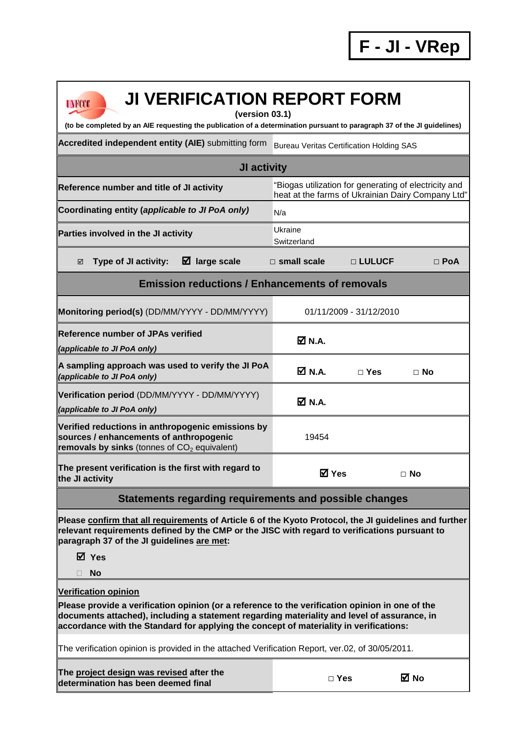## **UNFCCC**

## **JI VERIFICATION REPORT FORM**

**(version 03.1)** 

**(to be completed by an AIE requesting the publication of a determination pursuant to paragraph 37 of the JI guidelines)** 

Accredited independent entity (AIE) submitting form Bureau Veritas Certification Holding SAS

## **JI activity Reference number and title of JI activity** "Biogas utilization for generating of electricity and heat at the farms of Ukrainian Dairy Company Ltd" Coordinating entity (*applicable to JI PoA only)* N/a **Parties involved in the JI activity Example 20 YO EXAMPLE 2014 Switzerland Type of JI activity: large scale □ small scale □ LULUCF □ PoA Emission reductions / Enhancements of removals Monitoring period(s)** (DD/MM/YYYY - DD/MM/YYYY) 01/11/2009 - 31/12/2010 **Reference number of JPAs verified (applicable to JI PoA only)**  $M N A$ **A sampling approach was used to verify the JI PoA (applicable to JI PoA only) N.A. □ Yes □ No Verification period** (DD/MM/YYYY - DD/MM/YYYY) **(applicable to JI PoA only) N.A. Verified reductions in anthropogenic emissions by sources / enhancements of anthropogenic removals by sinks** (tonnes of CO<sub>2</sub> equivalent) 19454 **The present verification is the first with regard to the JI activity Yes □ No**

## **Statements regarding requirements and possible changes**

**Please confirm that all requirements of Article 6 of the Kyoto Protocol, the JI guidelines and further relevant requirements defined by the CMP or the JISC with regard to verifications pursuant to paragraph 37 of the JI guidelines are met:** 

**Yes** 

**No** 

**Verification opinion**

**Please provide a verification opinion (or a reference to the verification opinion in one of the documents attached), including a statement regarding materiality and level of assurance, in accordance with the Standard for applying the concept of materiality in verifications:** 

The verification opinion is provided in the attached Verification Report, ver.02, of 30/05/2011.

| The project design was revised after the<br>determination has been deemed final | $\sqcap$ Yes | ⊠ No |
|---------------------------------------------------------------------------------|--------------|------|
|---------------------------------------------------------------------------------|--------------|------|